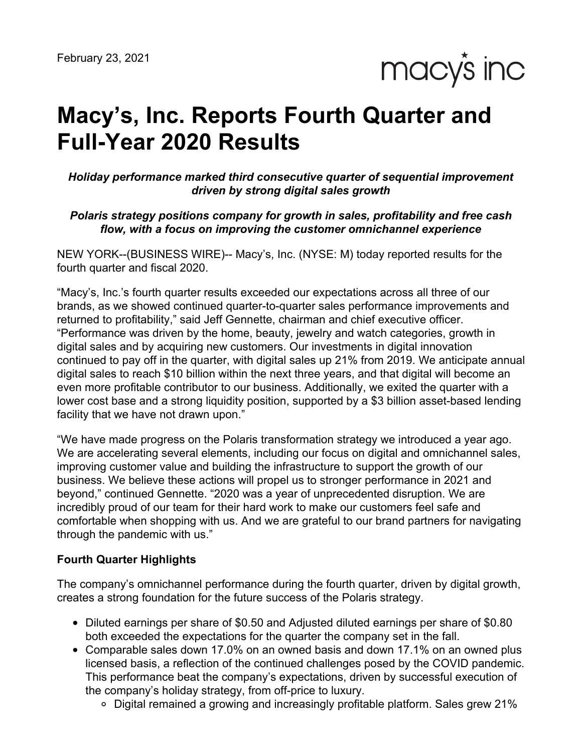macy's inc

# **Macy's, Inc. Reports Fourth Quarter and Full-Year 2020 Results**

*Holiday performance marked third consecutive quarter of sequential improvement driven by strong digital sales growth*

*Polaris strategy positions company for growth in sales, profitability and free cash flow, with a focus on improving the customer omnichannel experience*

NEW YORK--(BUSINESS WIRE)-- Macy's, Inc. (NYSE: M) today reported results for the fourth quarter and fiscal 2020.

"Macy's, Inc.'s fourth quarter results exceeded our expectations across all three of our brands, as we showed continued quarter-to-quarter sales performance improvements and returned to profitability," said Jeff Gennette, chairman and chief executive officer. "Performance was driven by the home, beauty, jewelry and watch categories, growth in digital sales and by acquiring new customers. Our investments in digital innovation continued to pay off in the quarter, with digital sales up 21% from 2019. We anticipate annual digital sales to reach \$10 billion within the next three years, and that digital will become an even more profitable contributor to our business. Additionally, we exited the quarter with a lower cost base and a strong liquidity position, supported by a \$3 billion asset-based lending facility that we have not drawn upon."

"We have made progress on the Polaris transformation strategy we introduced a year ago. We are accelerating several elements, including our focus on digital and omnichannel sales, improving customer value and building the infrastructure to support the growth of our business. We believe these actions will propel us to stronger performance in 2021 and beyond," continued Gennette. "2020 was a year of unprecedented disruption. We are incredibly proud of our team for their hard work to make our customers feel safe and comfortable when shopping with us. And we are grateful to our brand partners for navigating through the pandemic with us."

#### **Fourth Quarter Highlights**

The company's omnichannel performance during the fourth quarter, driven by digital growth, creates a strong foundation for the future success of the Polaris strategy.

- Diluted earnings per share of \$0.50 and Adjusted diluted earnings per share of \$0.80 both exceeded the expectations for the quarter the company set in the fall.
- Comparable sales down 17.0% on an owned basis and down 17.1% on an owned plus licensed basis, a reflection of the continued challenges posed by the COVID pandemic. This performance beat the company's expectations, driven by successful execution of the company's holiday strategy, from off-price to luxury.
	- $\circ$  Digital remained a growing and increasingly profitable platform. Sales grew 21%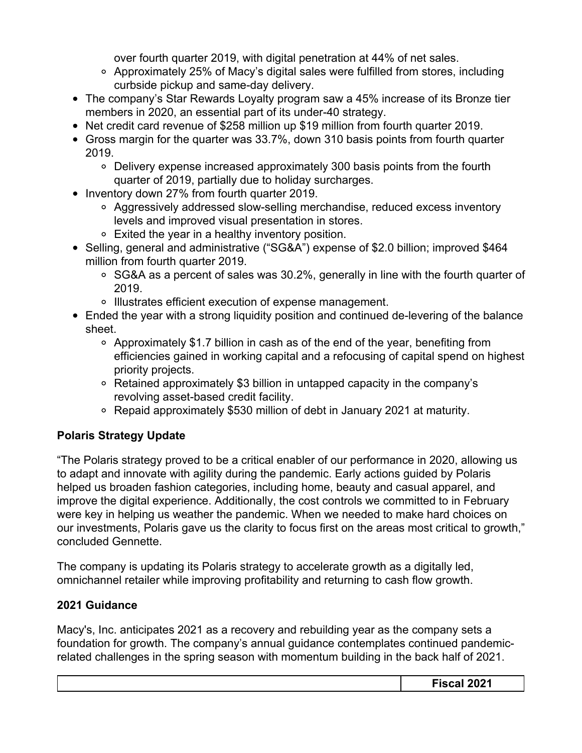over fourth quarter 2019, with digital penetration at 44% of net sales.

- $\circ$  Approximately 25% of Macy's digital sales were fulfilled from stores, including curbside pickup and same-day delivery.
- The company's Star Rewards Loyalty program saw a 45% increase of its Bronze tier members in 2020, an essential part of its under-40 strategy.
- Net credit card revenue of \$258 million up \$19 million from fourth quarter 2019.
- Gross margin for the quarter was 33.7%, down 310 basis points from fourth quarter 2019.
	- Delivery expense increased approximately 300 basis points from the fourth quarter of 2019, partially due to holiday surcharges.
- Inventory down 27% from fourth quarter 2019.
	- Aggressively addressed slow-selling merchandise, reduced excess inventory levels and improved visual presentation in stores.
	- Exited the year in a healthy inventory position.
- Selling, general and administrative ("SG&A") expense of \$2.0 billion; improved \$464 million from fourth quarter 2019.
	- $\circ$  SG&A as a percent of sales was 30.2%, generally in line with the fourth quarter of 2019.
	- Illustrates efficient execution of expense management.
- Ended the year with a strong liquidity position and continued de-levering of the balance sheet.
	- Approximately \$1.7 billion in cash as of the end of the year, benefiting from efficiencies gained in working capital and a refocusing of capital spend on highest priority projects.
	- Retained approximately \$3 billion in untapped capacity in the company's revolving asset-based credit facility.
	- Repaid approximately \$530 million of debt in January 2021 at maturity.

# **Polaris Strategy Update**

"The Polaris strategy proved to be a critical enabler of our performance in 2020, allowing us to adapt and innovate with agility during the pandemic. Early actions guided by Polaris helped us broaden fashion categories, including home, beauty and casual apparel, and improve the digital experience. Additionally, the cost controls we committed to in February were key in helping us weather the pandemic. When we needed to make hard choices on our investments, Polaris gave us the clarity to focus first on the areas most critical to growth," concluded Gennette.

The company is updating its Polaris strategy to accelerate growth as a digitally led, omnichannel retailer while improving profitability and returning to cash flow growth.

# **2021 Guidance**

Macy's, Inc. anticipates 2021 as a recovery and rebuilding year as the company sets a foundation for growth. The company's annual guidance contemplates continued pandemicrelated challenges in the spring season with momentum building in the back half of 2021.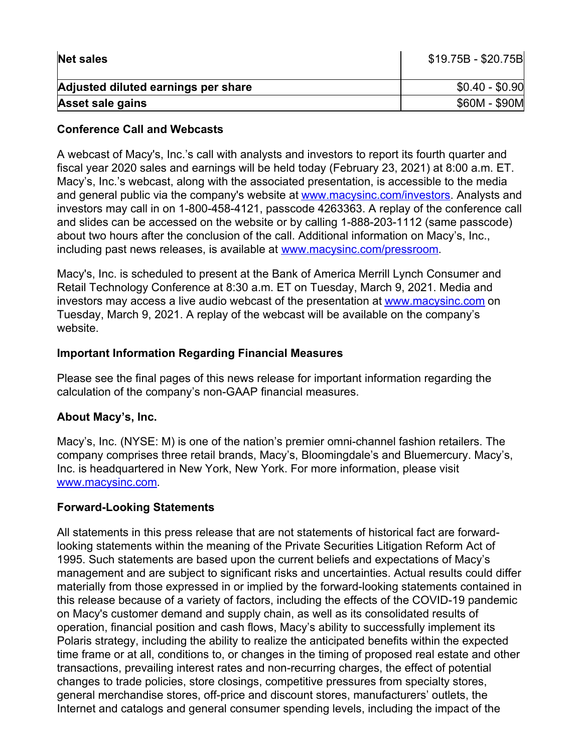| <b>Net sales</b>                    | $$19.75B - $20.75B$ |
|-------------------------------------|---------------------|
| Adjusted diluted earnings per share | $$0.40 - $0.90$     |
| <b>Asset sale gains</b>             | \$60M - \$90M       |

#### **Conference Call and Webcasts**

A webcast of Macy's, Inc.'s call with analysts and investors to report its fourth quarter and fiscal year 2020 sales and earnings will be held today (February 23, 2021) at 8:00 a.m. ET. Macy's, Inc.'s webcast, along with the associated presentation, is accessible to the media and general public via the company's website at [www.macysinc.com/investors](http://www.macysinc.com/investors). Analysts and investors may call in on 1-800-458-4121, passcode 4263363. A replay of the conference call and slides can be accessed on the website or by calling 1-888-203-1112 (same passcode) about two hours after the conclusion of the call. Additional information on Macy's, Inc., including past news releases, is available at [www.macysinc.com/pressroom](http://www.macysinc.com/pressroom).

Macy's, Inc. is scheduled to present at the Bank of America Merrill Lynch Consumer and Retail Technology Conference at 8:30 a.m. ET on Tuesday, March 9, 2021. Media and investors may access a live audio webcast of the presentation at [www.macysinc.com](http://www.macysinc.com) on Tuesday, March 9, 2021. A replay of the webcast will be available on the company's website.

#### **Important Information Regarding Financial Measures**

Please see the final pages of this news release for important information regarding the calculation of the company's non-GAAP financial measures.

#### **About Macy's, Inc.**

Macy's, Inc. (NYSE: M) is one of the nation's premier omni-channel fashion retailers. The company comprises three retail brands, Macy's, Bloomingdale's and Bluemercury. Macy's, Inc. is headquartered in New York, New York. For more information, please visit [www.macysinc.com](http://www.macysinc.com).

#### **Forward-Looking Statements**

All statements in this press release that are not statements of historical fact are forwardlooking statements within the meaning of the Private Securities Litigation Reform Act of 1995. Such statements are based upon the current beliefs and expectations of Macy's management and are subject to significant risks and uncertainties. Actual results could differ materially from those expressed in or implied by the forward-looking statements contained in this release because of a variety of factors, including the effects of the COVID-19 pandemic on Macy's customer demand and supply chain, as well as its consolidated results of operation, financial position and cash flows, Macy's ability to successfully implement its Polaris strategy, including the ability to realize the anticipated benefits within the expected time frame or at all, conditions to, or changes in the timing of proposed real estate and other transactions, prevailing interest rates and non-recurring charges, the effect of potential changes to trade policies, store closings, competitive pressures from specialty stores, general merchandise stores, off-price and discount stores, manufacturers' outlets, the Internet and catalogs and general consumer spending levels, including the impact of the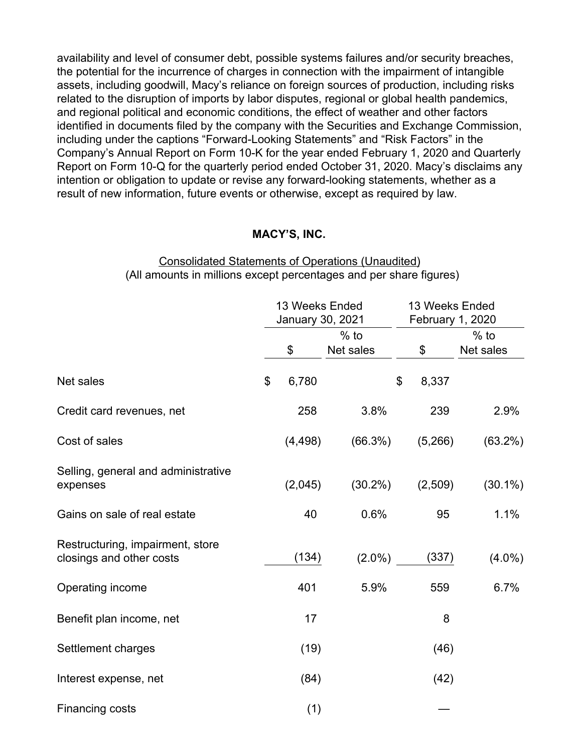availability and level of consumer debt, possible systems failures and/or security breaches, the potential for the incurrence of charges in connection with the impairment of intangible assets, including goodwill, Macy's reliance on foreign sources of production, including risks related to the disruption of imports by labor disputes, regional or global health pandemics, and regional political and economic conditions, the effect of weather and other factors identified in documents filed by the company with the Securities and Exchange Commission, including under the captions "Forward-Looking Statements" and "Risk Factors" in the Company's Annual Report on Form 10-K for the year ended February 1, 2020 and Quarterly Report on Form 10-Q for the quarterly period ended October 31, 2020. Macy's disclaims any intention or obligation to update or revise any forward-looking statements, whether as a result of new information, future events or otherwise, except as required by law.

#### **MACY'S, INC.**

#### Consolidated Statements of Operations (Unaudited) (All amounts in millions except percentages and per share figures)

|                                                              | 13 Weeks Ended<br>January 30, 2021 |          | 13 Weeks Ended<br>February 1, 2020 |             |            |
|--------------------------------------------------------------|------------------------------------|----------|------------------------------------|-------------|------------|
|                                                              | $%$ to                             |          |                                    | $%$ to      |            |
|                                                              |                                    | \$       | Net sales                          | \$          | Net sales  |
| Net sales                                                    | \$                                 | 6,780    |                                    | \$<br>8,337 |            |
| Credit card revenues, net                                    |                                    | 258      | 3.8%                               | 239         | 2.9%       |
| Cost of sales                                                |                                    | (4, 498) | (66.3%)                            | (5,266)     | (63.2%)    |
| Selling, general and administrative<br>expenses              |                                    | (2,045)  | $(30.2\%)$                         | (2,509)     | $(30.1\%)$ |
| Gains on sale of real estate                                 |                                    | 40       | 0.6%                               | 95          | 1.1%       |
| Restructuring, impairment, store<br>closings and other costs |                                    | (134)    | $(2.0\%)$                          | (337)       | $(4.0\%)$  |
| Operating income                                             |                                    | 401      | 5.9%                               | 559         | 6.7%       |
| Benefit plan income, net                                     |                                    | 17       |                                    | 8           |            |
| Settlement charges                                           |                                    | (19)     |                                    | (46)        |            |
| Interest expense, net                                        |                                    | (84)     |                                    | (42)        |            |
| <b>Financing costs</b>                                       |                                    | (1)      |                                    |             |            |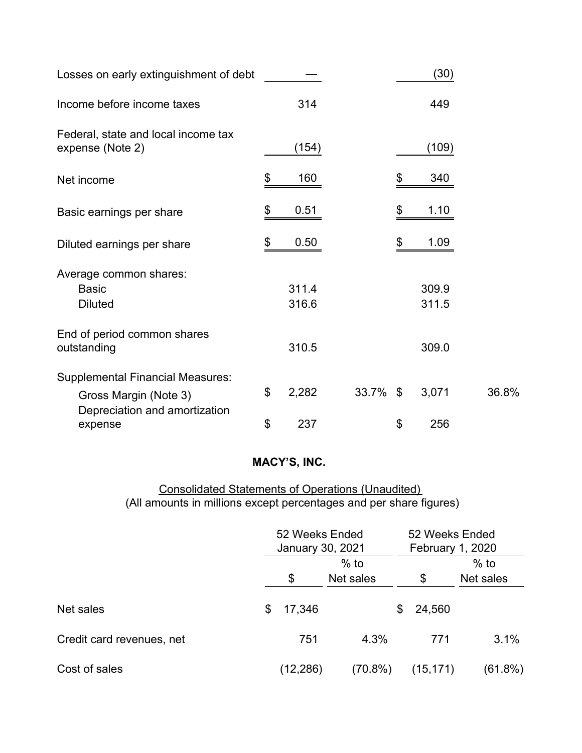| Losses on early extinguishment of debt                                                            |                |             | (30)           |       |
|---------------------------------------------------------------------------------------------------|----------------|-------------|----------------|-------|
| Income before income taxes                                                                        | 314            |             | 449            |       |
| Federal, state and local income tax<br>expense (Note 2)                                           | (154)          |             | (109)          |       |
| Net income                                                                                        | \$<br>160      |             | \$<br>340      |       |
| Basic earnings per share                                                                          | \$<br>0.51     |             | \$<br>1.10     |       |
| Diluted earnings per share                                                                        | \$<br>0.50     |             | \$<br>1.09     |       |
| Average common shares:<br><b>Basic</b><br><b>Diluted</b>                                          | 311.4<br>316.6 |             | 309.9<br>311.5 |       |
| End of period common shares<br>outstanding                                                        | 310.5          |             | 309.0          |       |
| <b>Supplemental Financial Measures:</b><br>Gross Margin (Note 3)<br>Depreciation and amortization | \$<br>2,282    | $33.7\%$ \$ | 3,071          | 36.8% |
| expense                                                                                           | \$<br>237      |             | \$<br>256      |       |

#### Consolidated Statements of Operations (Unaudited) (All amounts in millions except percentages and per share figures)

|                           | 52 Weeks Ended<br>January 30, 2021 |            | 52 Weeks Ended<br><b>February 1, 2020</b> |           |  |
|---------------------------|------------------------------------|------------|-------------------------------------------|-----------|--|
|                           | $%$ to                             |            |                                           | $%$ to    |  |
|                           | \$                                 | Net sales  | $\boldsymbol{\mathsf{\$}}$                | Net sales |  |
| Net sales                 | \$<br>17,346                       |            | 24,560<br>S.                              |           |  |
| Credit card revenues, net | 751                                | 4.3%       | 771                                       | 3.1%      |  |
| Cost of sales             | (12, 286)                          | $(70.8\%)$ | (15, 171)                                 | (61.8%)   |  |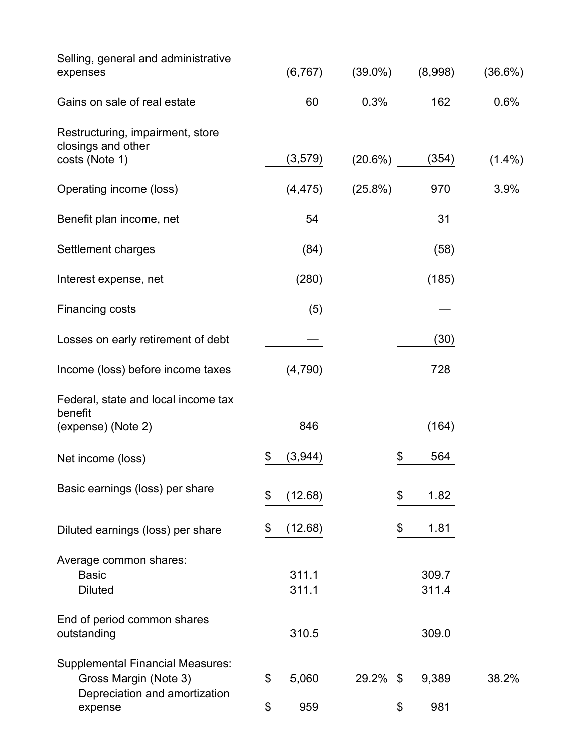| Selling, general and administrative<br>expenses                                                   | (6, 767)      | $(39.0\%)$ | (8,998)     | (36.6%)   |
|---------------------------------------------------------------------------------------------------|---------------|------------|-------------|-----------|
| Gains on sale of real estate                                                                      | 60            | 0.3%       | 162         | 0.6%      |
| Restructuring, impairment, store<br>closings and other                                            |               |            |             |           |
| costs (Note 1)                                                                                    | (3,579)       | (20.6%)    | (354)       | $(1.4\%)$ |
| Operating income (loss)                                                                           | (4, 475)      | $(25.8\%)$ | 970         | 3.9%      |
| Benefit plan income, net                                                                          | 54            |            | 31          |           |
| Settlement charges                                                                                | (84)          |            | (58)        |           |
| Interest expense, net                                                                             | (280)         |            | (185)       |           |
| <b>Financing costs</b>                                                                            | (5)           |            |             |           |
| Losses on early retirement of debt                                                                |               |            | (30)        |           |
| Income (loss) before income taxes                                                                 | (4,790)       |            | 728         |           |
| Federal, state and local income tax<br>benefit                                                    |               |            |             |           |
| (expense) (Note 2)                                                                                | 846           |            | (164)       |           |
| Net income (loss)                                                                                 | \$<br>(3,944) |            | \$<br>564   |           |
| Basic earnings (loss) per share                                                                   | \$<br>(12.68) |            | 1.82<br>\$  |           |
| Diluted earnings (loss) per share                                                                 | \$<br>(12.68) |            | \$<br>1.81  |           |
| Average common shares:                                                                            |               |            |             |           |
| <b>Basic</b>                                                                                      | 311.1         |            | 309.7       |           |
| <b>Diluted</b>                                                                                    | 311.1         |            | 311.4       |           |
| End of period common shares<br>outstanding                                                        | 310.5         |            | 309.0       |           |
| <b>Supplemental Financial Measures:</b><br>Gross Margin (Note 3)<br>Depreciation and amortization | \$<br>5,060   | 29.2%      | 9,389<br>\$ | 38.2%     |
| expense                                                                                           | \$<br>959     |            | 981<br>\$   |           |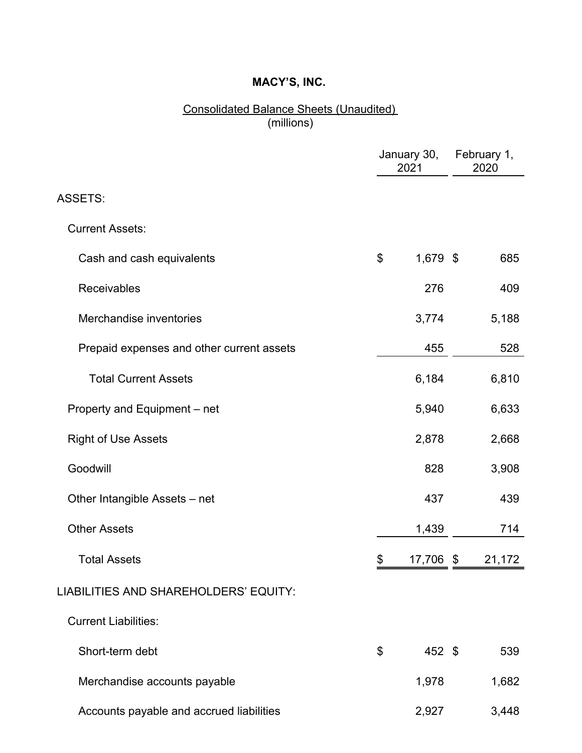#### Consolidated Balance Sheets (Unaudited) (millions)

|                                           | January 30,<br>2021 | February 1,<br>2020 |
|-------------------------------------------|---------------------|---------------------|
| <b>ASSETS:</b>                            |                     |                     |
| <b>Current Assets:</b>                    |                     |                     |
| Cash and cash equivalents                 | \$<br>1,679 \$      | 685                 |
| Receivables                               | 276                 | 409                 |
| Merchandise inventories                   | 3,774               | 5,188               |
| Prepaid expenses and other current assets | 455                 | 528                 |
| <b>Total Current Assets</b>               | 6,184               | 6,810               |
| Property and Equipment – net              | 5,940               | 6,633               |
| <b>Right of Use Assets</b>                | 2,878               | 2,668               |
| Goodwill                                  | 828                 | 3,908               |
| Other Intangible Assets - net             | 437                 | 439                 |
| <b>Other Assets</b>                       | 1,439               | 714                 |
| <b>Total Assets</b>                       | \$<br>17,706        | \$<br>21,172        |
| LIABILITIES AND SHAREHOLDERS' EQUITY:     |                     |                     |
| <b>Current Liabilities:</b>               |                     |                     |
| Short-term debt                           | \$<br>452 \$        | 539                 |
| Merchandise accounts payable              | 1,978               | 1,682               |
| Accounts payable and accrued liabilities  | 2,927               | 3,448               |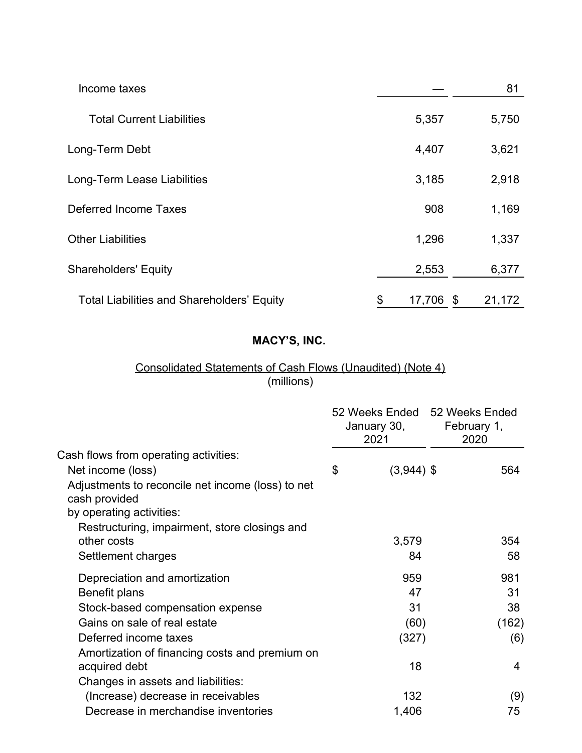| Income taxes                                      |              |     | 81     |
|---------------------------------------------------|--------------|-----|--------|
| <b>Total Current Liabilities</b>                  | 5,357        |     | 5,750  |
| Long-Term Debt                                    | 4,407        |     | 3,621  |
| Long-Term Lease Liabilities                       | 3,185        |     | 2,918  |
| Deferred Income Taxes                             | 908          |     | 1,169  |
| <b>Other Liabilities</b>                          | 1,296        |     | 1,337  |
| <b>Shareholders' Equity</b>                       | 2,553        |     | 6,377  |
| <b>Total Liabilities and Shareholders' Equity</b> | \$<br>17,706 | -\$ | 21,172 |

#### Consolidated Statements of Cash Flows (Unaudited) (Note 4) (millions)

|                                                                    | 52 Weeks Ended 52 Weeks Ended<br>January 30,<br>2021 | February 1,<br>2020 |
|--------------------------------------------------------------------|------------------------------------------------------|---------------------|
| Cash flows from operating activities:                              |                                                      |                     |
| Net income (loss)                                                  | \$<br>$(3,944)$ \$                                   | 564                 |
| Adjustments to reconcile net income (loss) to net<br>cash provided |                                                      |                     |
| by operating activities:                                           |                                                      |                     |
| Restructuring, impairment, store closings and<br>other costs       | 3,579                                                | 354                 |
| Settlement charges                                                 | 84                                                   | 58                  |
| Depreciation and amortization                                      | 959                                                  | 981                 |
| Benefit plans                                                      | 47                                                   | 31                  |
| Stock-based compensation expense                                   | 31                                                   | 38                  |
| Gains on sale of real estate                                       | (60)                                                 | (162)               |
| Deferred income taxes                                              | (327)                                                | (6)                 |
| Amortization of financing costs and premium on                     |                                                      |                     |
| acquired debt                                                      | 18                                                   | $\overline{4}$      |
| Changes in assets and liabilities:                                 |                                                      |                     |
| (Increase) decrease in receivables                                 | 132                                                  | (9)                 |
| Decrease in merchandise inventories                                | 1,406                                                | 75                  |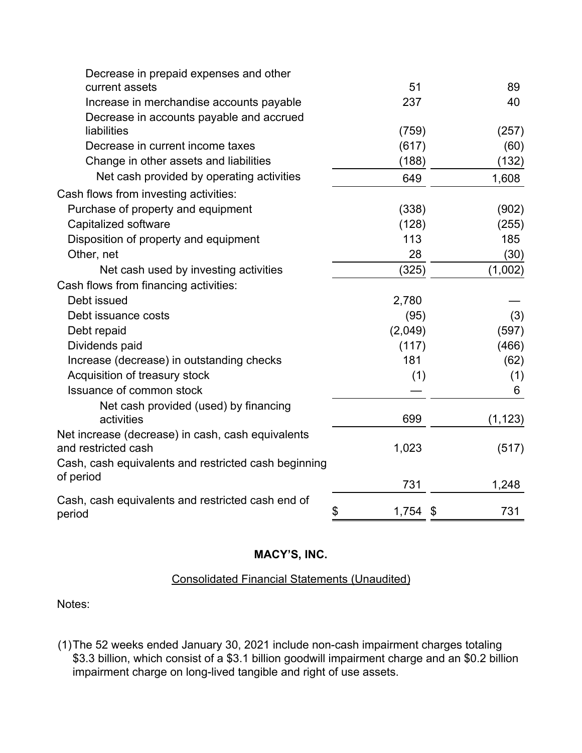| Decrease in prepaid expenses and other               |             |           |
|------------------------------------------------------|-------------|-----------|
| current assets                                       | 51          | 89        |
| Increase in merchandise accounts payable             | 237         | 40        |
| Decrease in accounts payable and accrued             |             |           |
| liabilities                                          | (759)       | (257)     |
| Decrease in current income taxes                     | (617)       | (60)      |
| Change in other assets and liabilities               | (188)       | (132)     |
| Net cash provided by operating activities            | 649         | 1,608     |
| Cash flows from investing activities:                |             |           |
| Purchase of property and equipment                   | (338)       | (902)     |
| Capitalized software                                 | (128)       | (255)     |
| Disposition of property and equipment                | 113         | 185       |
| Other, net                                           | 28          | (30)      |
| Net cash used by investing activities                | (325)       | (1,002)   |
| Cash flows from financing activities:                |             |           |
| Debt issued                                          | 2,780       |           |
| Debt issuance costs                                  | (95)        | (3)       |
| Debt repaid                                          | (2,049)     | (597)     |
| Dividends paid                                       | (117)       | (466)     |
| Increase (decrease) in outstanding checks            | 181         | (62)      |
| Acquisition of treasury stock                        | (1)         | (1)       |
| <b>Issuance of common stock</b>                      |             | 6         |
| Net cash provided (used) by financing                |             |           |
| activities                                           | 699         | (1, 123)  |
| Net increase (decrease) in cash, cash equivalents    |             |           |
| and restricted cash                                  | 1,023       | (517)     |
| Cash, cash equivalents and restricted cash beginning |             |           |
| of period                                            | 731         | 1,248     |
| Cash, cash equivalents and restricted cash end of    |             |           |
| period                                               | \$<br>1,754 | 731<br>\$ |

#### Consolidated Financial Statements (Unaudited)

Notes:

(1)The 52 weeks ended January 30, 2021 include non-cash impairment charges totaling \$3.3 billion, which consist of a \$3.1 billion goodwill impairment charge and an \$0.2 billion impairment charge on long-lived tangible and right of use assets.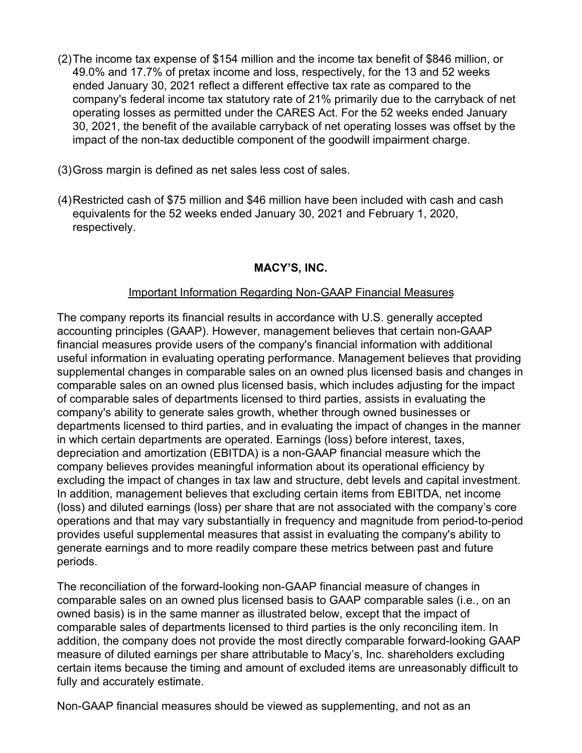- (2)The income tax expense of \$154 million and the income tax benefit of \$846 million, or 49.0% and 17.7% of pretax income and loss, respectively, for the 13 and 52 weeks ended January 30, 2021 reflect a different effective tax rate as compared to the company's federal income tax statutory rate of 21% primarily due to the carryback of net operating losses as permitted under the CARES Act. For the 52 weeks ended January 30, 2021, the benefit of the available carryback of net operating losses was offset by the impact of the non-tax deductible component of the goodwill impairment charge.
- (3)Gross margin is defined as net sales less cost of sales.
- (4)Restricted cash of \$75 million and \$46 million have been included with cash and cash equivalents for the 52 weeks ended January 30, 2021 and February 1, 2020, respectively.

#### Important Information Regarding Non-GAAP Financial Measures

The company reports its financial results in accordance with U.S. generally accepted accounting principles (GAAP). However, management believes that certain non-GAAP financial measures provide users of the company's financial information with additional useful information in evaluating operating performance. Management believes that providing supplemental changes in comparable sales on an owned plus licensed basis and changes in comparable sales on an owned plus licensed basis, which includes adjusting for the impact of comparable sales of departments licensed to third parties, assists in evaluating the company's ability to generate sales growth, whether through owned businesses or departments licensed to third parties, and in evaluating the impact of changes in the manner in which certain departments are operated. Earnings (loss) before interest, taxes, depreciation and amortization (EBITDA) is a non-GAAP financial measure which the company believes provides meaningful information about its operational efficiency by excluding the impact of changes in tax law and structure, debt levels and capital investment. In addition, management believes that excluding certain items from EBITDA, net income (loss) and diluted earnings (loss) per share that are not associated with the company's core operations and that may vary substantially in frequency and magnitude from period-to-period provides useful supplemental measures that assist in evaluating the company's ability to generate earnings and to more readily compare these metrics between past and future periods.

The reconciliation of the forward-looking non-GAAP financial measure of changes in comparable sales on an owned plus licensed basis to GAAP comparable sales (i.e., on an owned basis) is in the same manner as illustrated below, except that the impact of comparable sales of departments licensed to third parties is the only reconciling item. In addition, the company does not provide the most directly comparable forward-looking GAAP measure of diluted earnings per share attributable to Macy's, Inc. shareholders excluding certain items because the timing and amount of excluded items are unreasonably difficult to fully and accurately estimate.

Non-GAAP financial measures should be viewed as supplementing, and not as an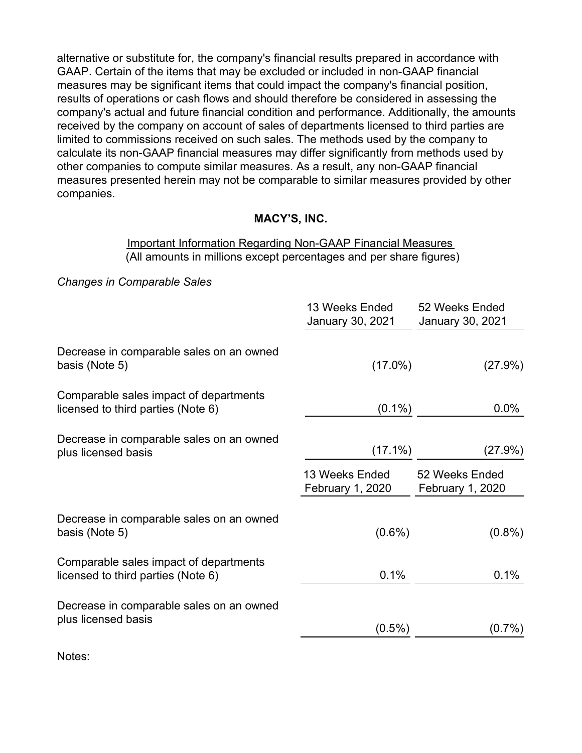alternative or substitute for, the company's financial results prepared in accordance with GAAP. Certain of the items that may be excluded or included in non-GAAP financial measures may be significant items that could impact the company's financial position, results of operations or cash flows and should therefore be considered in assessing the company's actual and future financial condition and performance. Additionally, the amounts received by the company on account of sales of departments licensed to third parties are limited to commissions received on such sales. The methods used by the company to calculate its non-GAAP financial measures may differ significantly from methods used by other companies to compute similar measures. As a result, any non-GAAP financial measures presented herein may not be comparable to similar measures provided by other companies.

#### **MACY'S, INC.**

#### Important Information Regarding Non-GAAP Financial Measures (All amounts in millions except percentages and per share figures)

*Changes in Comparable Sales*

|                                                                              | 13 Weeks Ended<br>January 30, 2021 | 52 Weeks Ended<br>January 30, 2021        |
|------------------------------------------------------------------------------|------------------------------------|-------------------------------------------|
| Decrease in comparable sales on an owned<br>basis (Note 5)                   | $(17.0\%)$                         | (27.9%)                                   |
| Comparable sales impact of departments<br>licensed to third parties (Note 6) | $(0.1\%)$                          | $0.0\%$                                   |
| Decrease in comparable sales on an owned<br>plus licensed basis              | $(17.1\%)$                         | (27.9%)                                   |
|                                                                              | 13 Weeks Ended<br>February 1, 2020 | 52 Weeks Ended<br><b>February 1, 2020</b> |
| Decrease in comparable sales on an owned<br>basis (Note 5)                   | $(0.6\%)$                          | $(0.8\%)$                                 |
| Comparable sales impact of departments<br>licensed to third parties (Note 6) | 0.1%                               | 0.1%                                      |
| Decrease in comparable sales on an owned<br>plus licensed basis              |                                    |                                           |
|                                                                              | $(0.5\%)$                          | $(0.7\%)$                                 |

Notes: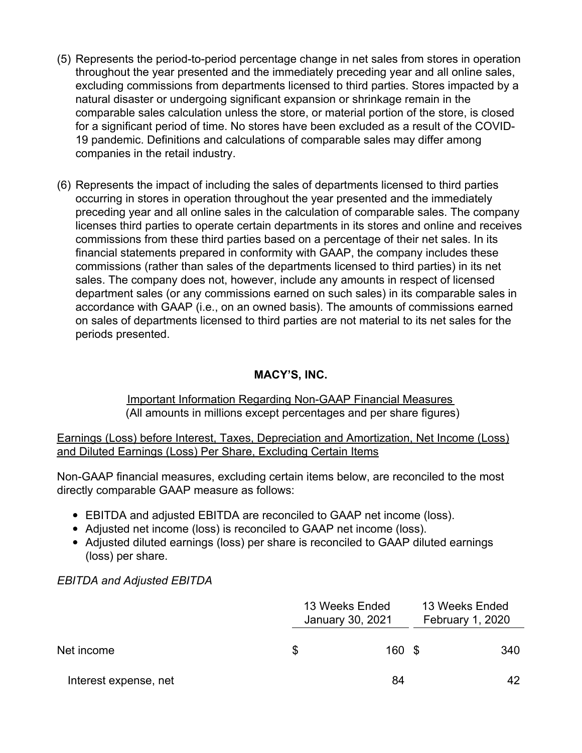- (5) Represents the period-to-period percentage change in net sales from stores in operation throughout the year presented and the immediately preceding year and all online sales, excluding commissions from departments licensed to third parties. Stores impacted by a natural disaster or undergoing significant expansion or shrinkage remain in the comparable sales calculation unless the store, or material portion of the store, is closed for a significant period of time. No stores have been excluded as a result of the COVID-19 pandemic. Definitions and calculations of comparable sales may differ among companies in the retail industry.
- (6) Represents the impact of including the sales of departments licensed to third parties occurring in stores in operation throughout the year presented and the immediately preceding year and all online sales in the calculation of comparable sales. The company licenses third parties to operate certain departments in its stores and online and receives commissions from these third parties based on a percentage of their net sales. In its financial statements prepared in conformity with GAAP, the company includes these commissions (rather than sales of the departments licensed to third parties) in its net sales. The company does not, however, include any amounts in respect of licensed department sales (or any commissions earned on such sales) in its comparable sales in accordance with GAAP (i.e., on an owned basis). The amounts of commissions earned on sales of departments licensed to third parties are not material to its net sales for the periods presented.

#### Important Information Regarding Non-GAAP Financial Measures (All amounts in millions except percentages and per share figures)

Earnings (Loss) before Interest, Taxes, Depreciation and Amortization, Net Income (Loss) and Diluted Earnings (Loss) Per Share, Excluding Certain Items

Non-GAAP financial measures, excluding certain items below, are reconciled to the most directly comparable GAAP measure as follows:

- EBITDA and adjusted EBITDA are reconciled to GAAP net income (loss).
- Adjusted net income (loss) is reconciled to GAAP net income (loss).
- Adjusted diluted earnings (loss) per share is reconciled to GAAP diluted earnings (loss) per share.

#### *EBITDA and Adjusted EBITDA*

|                       |   | 13 Weeks Ended<br>January 30, 2021 | 13 Weeks Ended<br>February 1, 2020 |    |  |
|-----------------------|---|------------------------------------|------------------------------------|----|--|
| Net income            | S | 160S                               | 340                                |    |  |
| Interest expense, net |   | 84                                 |                                    | 42 |  |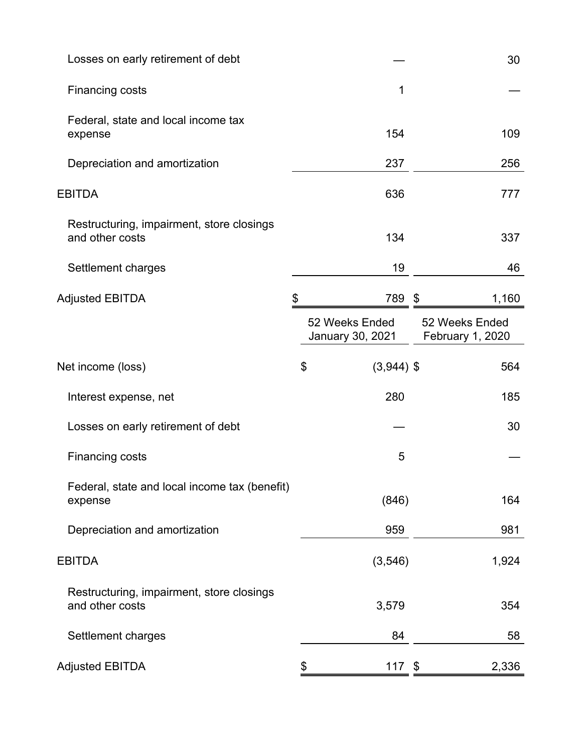| Losses on early retirement of debt                           |    |                                    | 30                                 |
|--------------------------------------------------------------|----|------------------------------------|------------------------------------|
| <b>Financing costs</b>                                       |    | 1                                  |                                    |
| Federal, state and local income tax<br>expense               |    | 154                                | 109                                |
| Depreciation and amortization                                |    | 237                                | 256                                |
| <b>EBITDA</b>                                                |    | 636                                | 777                                |
| Restructuring, impairment, store closings<br>and other costs |    | 134                                | 337                                |
| Settlement charges                                           |    | 19                                 | 46                                 |
| <b>Adjusted EBITDA</b>                                       |    | 789 \$                             | 1,160                              |
|                                                              |    | 52 Weeks Ended<br>January 30, 2021 | 52 Weeks Ended<br>February 1, 2020 |
| Net income (loss)                                            | \$ | $(3,944)$ \$                       | 564                                |
| Interest expense, net                                        |    | 280                                | 185                                |
| Losses on early retirement of debt                           |    |                                    | 30                                 |
| <b>Financing costs</b>                                       |    | 5                                  |                                    |
| Federal, state and local income tax (benefit)<br>expense     |    | (846)                              | 164                                |
| Depreciation and amortization                                |    | 959                                | 981                                |
| <b>EBITDA</b>                                                |    | (3, 546)                           | 1,924                              |
| Restructuring, impairment, store closings<br>and other costs |    | 3,579                              | 354                                |
| Settlement charges                                           |    | 84                                 | 58                                 |
| <b>Adjusted EBITDA</b>                                       | \$ | $117$ \$                           | 2,336                              |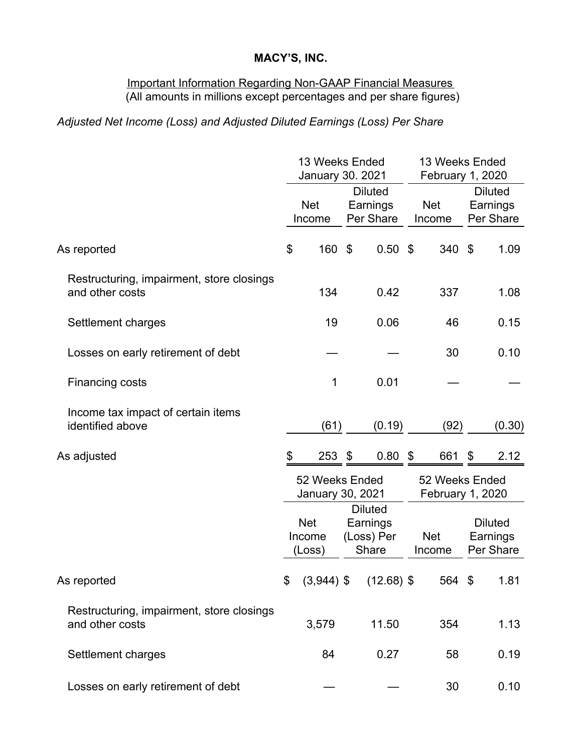#### Important Information Regarding Non-GAAP Financial Measures (All amounts in millions except percentages and per share figures)

## *Adjusted Net Income (Loss) and Adjusted Diluted Earnings (Loss) Per Share*

|                                                              | 13 Weeks Ended<br>January 30. 2021 |                                                                 |    |                                                   | 13 Weeks Ended<br>February 1, 2020 |                      |                                         |        |
|--------------------------------------------------------------|------------------------------------|-----------------------------------------------------------------|----|---------------------------------------------------|------------------------------------|----------------------|-----------------------------------------|--------|
|                                                              |                                    | <b>Diluted</b><br><b>Net</b><br>Earnings<br>Per Share<br>Income |    |                                                   | <b>Net</b><br>Income               |                      | <b>Diluted</b><br>Earnings<br>Per Share |        |
| As reported                                                  | \$                                 | 160                                                             | \$ | $0.50$ \$                                         |                                    | 340                  | -\$                                     | 1.09   |
| Restructuring, impairment, store closings<br>and other costs |                                    | 134                                                             |    | 0.42                                              |                                    | 337                  |                                         | 1.08   |
| Settlement charges                                           |                                    | 19                                                              |    | 0.06                                              |                                    | 46                   |                                         | 0.15   |
| Losses on early retirement of debt                           |                                    |                                                                 |    |                                                   |                                    | 30                   |                                         | 0.10   |
| Financing costs                                              |                                    | 1                                                               |    | 0.01                                              |                                    |                      |                                         |        |
| Income tax impact of certain items<br>identified above       |                                    | (61)                                                            |    | (0.19)                                            |                                    | (92)                 |                                         | (0.30) |
| As adjusted                                                  | \$                                 | $253$ \$                                                        |    | $0.80$ \$                                         |                                    | 661                  | $\boldsymbol{\mathcal{S}}$              | 2.12   |
|                                                              | 52 Weeks Ended<br>January 30, 2021 |                                                                 |    | 52 Weeks Ended<br>February 1, 2020                |                                    |                      |                                         |        |
|                                                              |                                    | <b>Net</b><br>Income<br>(Loss)                                  |    | <b>Diluted</b><br>Earnings<br>(Loss) Per<br>Share |                                    | <b>Net</b><br>Income | <b>Diluted</b><br>Earnings<br>Per Share |        |
| As reported                                                  |                                    |                                                                 |    | $$^{(3,944)}$ \$ (12.68) \$                       |                                    | 564 \$               |                                         | 1.81   |
| Restructuring, impairment, store closings<br>and other costs |                                    | 3,579                                                           |    | 11.50                                             |                                    | 354                  |                                         | 1.13   |
| Settlement charges                                           |                                    | 84                                                              |    | 0.27                                              |                                    | 58                   |                                         | 0.19   |
| Losses on early retirement of debt                           |                                    |                                                                 |    |                                                   |                                    | 30                   |                                         | 0.10   |